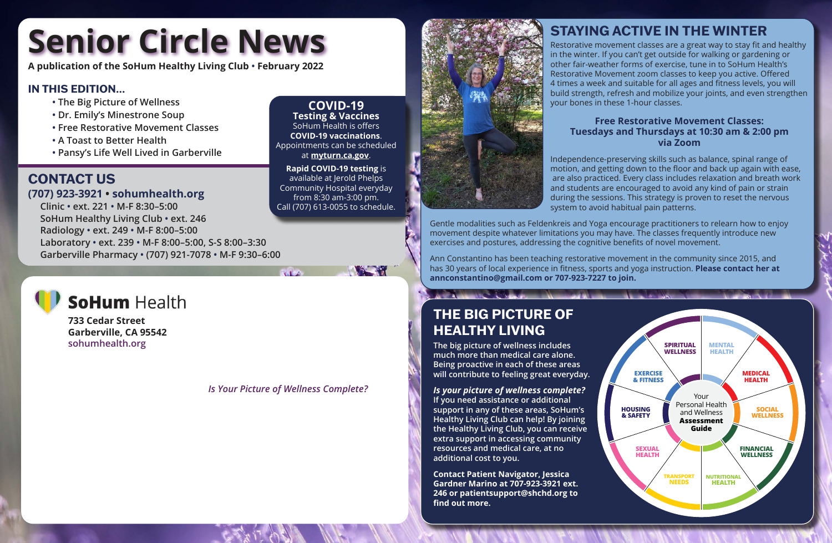**A publication of the SoHum Healthy Living Club • February 2022**

# **Senior Circle News**

# **CONTACT US**

# **(707) 923-3921 • sohumhealth.org**

 **Clinic • ext. 221 • M-F 8:30–5:00 SoHum Healthy Living Club • ext. 246 Radiology • ext. 249 • M-F 8:00–5:00 Laboratory • ext. 239 • M-F 8:00–5:00, S-S 8:00–3:30 Garberville Pharmacy • (707) 921-7078 • M-F 9:30–6:00** Call (707) 613-0055 to schedule.



**COVID-19 Testing & Vaccines** SoHum Health is offers **COVID-19 vaccinations**. Appointments can be scheduled at **myturn.ca.gov**. **Rapid COVID-19 testing** is available at Jerold Phelps Community Hospital everyday from 8:30 am-3:00 pm.

**THE REAL** 



### **IN THIS EDITION…**

- **• The Big Picture of Wellness**
- **• Dr. Emily's Minestrone Soup**
- **• Free Restorative Movement Classes**
- **• A Toast to Better Health**
- **• Pansy's Life Well Lived in Garberville**

**733 Cedar Street Garberville, CA 95542 sohumhealth.org**

#### *Is Your Picture of Wellness Complete?*



# **STAYING ACTIVE IN THE WINTER**

Restorative movement classes are a great way to stay fit and healthy in the winter. If you can't get outside for walking or gardening or other fair-weather forms of exercise, tune in to SoHum Health's Restorative Movement zoom classes to keep you active. Offered 4 times a week and suitable for all ages and fitness levels, you will build strength, refresh and mobilize your joints, and even strengthen your bones in these 1-hour classes.

#### **Free Restorative Movement Classes: Tuesdays and Thursdays at 10:30 am & 2:00 pm via Zoom**

Independence-preserving skills such as balance, spinal range of motion, and getting down to the floor and back up again with ease, are also practiced. Every class includes relaxation and breath work and students are encouraged to avoid any kind of pain or strain during the sessions. This strategy is proven to reset the nervous system to avoid habitual pain patterns.

Gentle modalities such as Feldenkreis and Yoga encourage practitioners to relearn how to enjoy movement despite whatever limitations you may have. The classes frequently introduce new exercises and postures, addressing the cognitive benefits of novel movement.

Ann Constantino has been teaching restorative movement in the community since 2015, and has 30 years of local experience in fitness, sports and yoga instruction. **Please contact her at annconstantino@gmail.com or 707-923-7227 to join.**

# **THE BIG PICTURE OF HEALTHY LIVING**

**The big picture of wellness includes much more than medical care alone. Being proactive in each of these areas will contribute to feeling great everyday.**

#### *Is your picture of wellness complete?*

**If you need assistance or additional support in any of these areas, SoHum's Healthy Living Club can help! By joining the Healthy Living Club, you can receive extra support in accessing community resources and medical care, at no additional cost to you.**

**Contact Patient Navigator, Jessica Gardner Marino at 707-923-3921 ext. 246 or patientsupport@shchd.org to find out more.**